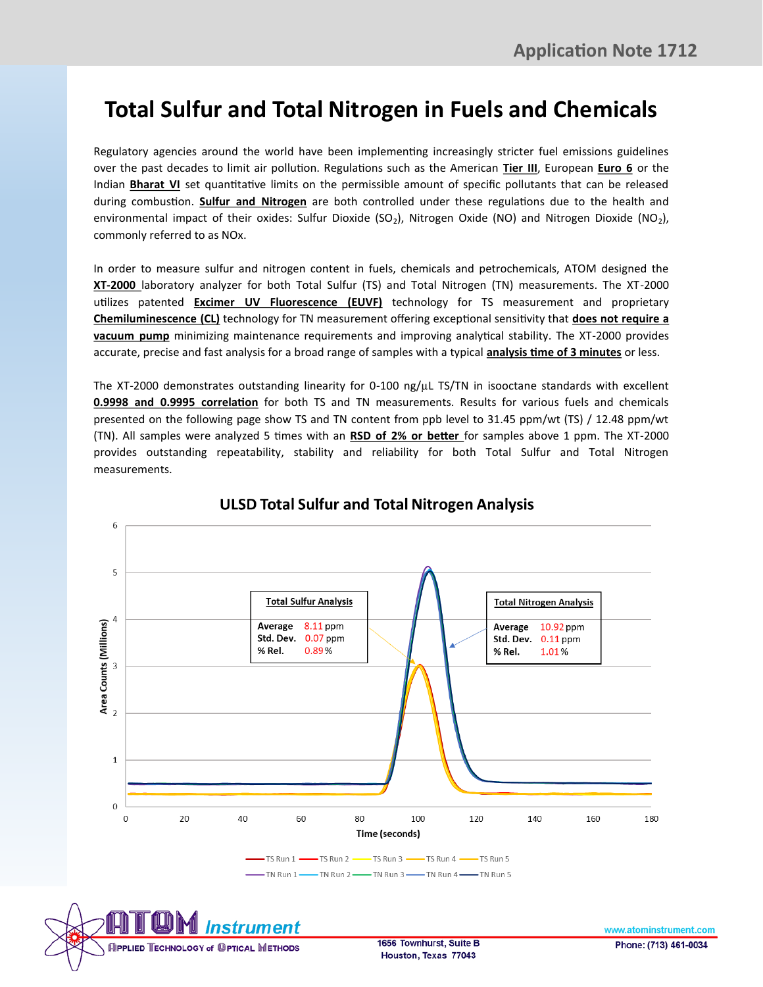## **Total Sulfur and Total Nitrogen in Fuels and Chemicals**

Regulatory agencies around the world have been implementing increasingly stricter fuel emissions guidelines over the past decades to limit air pollution. Regulations such as the American **Tier III**, European **Euro 6** or the Indian **Bharat VI** set quantitative limits on the permissible amount of specific pollutants that can be released during combustion. **Sulfur and Nitrogen** are both controlled under these regulations due to the health and environmental impact of their oxides: Sulfur Dioxide (SO<sub>2</sub>), Nitrogen Oxide (NO) and Nitrogen Dioxide (NO<sub>2</sub>), commonly referred to as NOx.

In order to measure sulfur and nitrogen content in fuels, chemicals and petrochemicals, ATOM designed the **XT-2000** laboratory analyzer for both Total Sulfur (TS) and Total Nitrogen (TN) measurements. The XT-2000 utilizes patented **Excimer UV Fluorescence (EUVF)** technology for TS measurement and proprietary **Chemiluminescence (CL)** technology for TN measurement offering exceptional sensitivity that **does not require a vacuum pump** minimizing maintenance requirements and improving analytical stability. The XT-2000 provides accurate, precise and fast analysis for a broad range of samples with a typical **analysis time of 3 minutes** or less.

The XT-2000 demonstrates outstanding linearity for 0-100 ng/µL TS/TN in isooctane standards with excellent **0.9998 and 0.9995 correlation** for both TS and TN measurements. Results for various fuels and chemicals presented on the following page show TS and TN content from ppb level to 31.45 ppm/wt (TS) / 12.48 ppm/wt (TN). All samples were analyzed 5 times with an **RSD of 2% or better** for samples above 1 ppm. The XT-2000 provides outstanding repeatability, stability and reliability for both Total Sulfur and Total Nitrogen measurements.



## **ULSD Total Sulfur and Total Nitrogen Analysis**

**INPPLIED TECHNOLOGY of OPTICAL METHODS** 

6